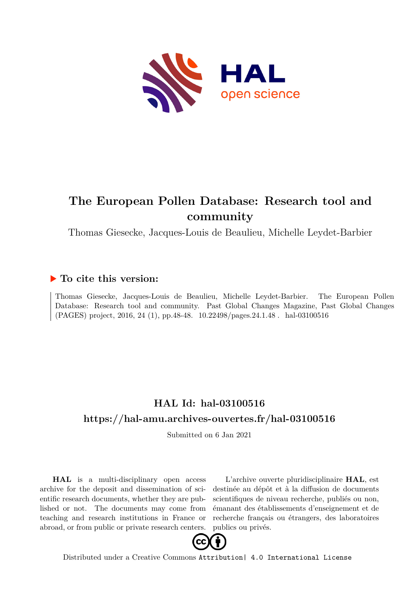

## **The European Pollen Database: Research tool and community**

Thomas Giesecke, Jacques-Louis de Beaulieu, Michelle Leydet-Barbier

### **To cite this version:**

Thomas Giesecke, Jacques-Louis de Beaulieu, Michelle Leydet-Barbier. The European Pollen Database: Research tool and community. Past Global Changes Magazine, Past Global Changes (PAGES) project, 2016, 24 (1), pp.48-48.  $10.22498/pages.24.1.48$ . hal-03100516

## **HAL Id: hal-03100516 <https://hal-amu.archives-ouvertes.fr/hal-03100516>**

Submitted on 6 Jan 2021

**HAL** is a multi-disciplinary open access archive for the deposit and dissemination of scientific research documents, whether they are published or not. The documents may come from teaching and research institutions in France or abroad, or from public or private research centers.

L'archive ouverte pluridisciplinaire **HAL**, est destinée au dépôt et à la diffusion de documents scientifiques de niveau recherche, publiés ou non, émanant des établissements d'enseignement et de recherche français ou étrangers, des laboratoires publics ou privés.



Distributed under a Creative Commons [Attribution| 4.0 International License](http://creativecommons.org/licenses/by/4.0/)